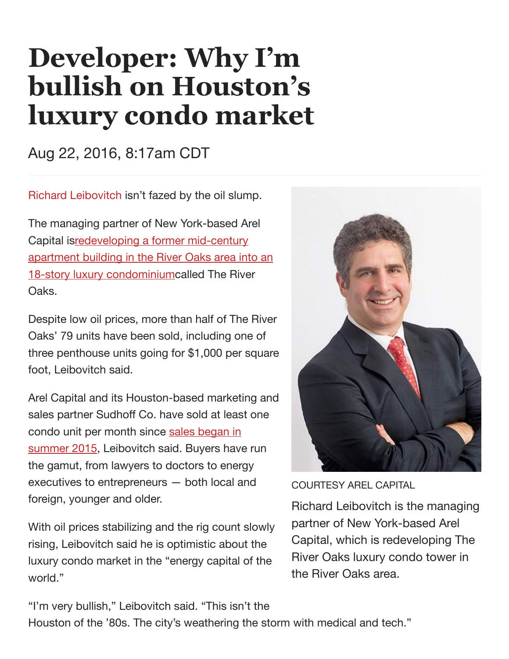## **Developer: Why I'm bullish on Houston's luxury condo market**

Aug 22, 2016, 8:17am CDT

Richard [Leibovitch](http://www.bizjournals.com/houston/search/results?q=Richard%20Leibovitch) isn't fazed by the oil slump.

The managing partner of New York-based Arel Capital isredeveloping a former mid-century apartment building in the River Oaks area into an 18-story luxury [condominiumcalled](http://www.bizjournals.com/houston/print-edition/2015/06/26/developer-seeks-to-preserve-not-tear-down-river.html) The River Oaks.

Despite low oil prices, more than half of The River Oaks' 79 units have been sold, including one of three penthouse units going for \$1,000 per square foot, Leibovitch said.

Arel Capital and its Houston-based marketing and sales partner Sudhoff Co. have sold at least one condo unit per month since sales began in summer 2015, [Leibovitch](http://www.bizjournals.com/houston/news/2015/06/18/sales-tostart-soon-for-luxury-condominium-project.html) said. Buyers have run the gamut, from lawyers to doctors to energy executives to entrepreneurs — both local and foreign, younger and older.

With oil prices stabilizing and the rig count slowly rising, Leibovitch said he is optimistic about the luxury condo market in the "energy capital of the world."



COURTESY AREL CAPITAL

Richard Leibovitch is the managing partner of New York-based Arel Capital, which is redeveloping The River Oaks luxury condo tower in the River Oaks area.

"I'm very bullish," Leibovitch said. "This isn't the Houston of the '80s. The city's weathering the storm with medical and tech."